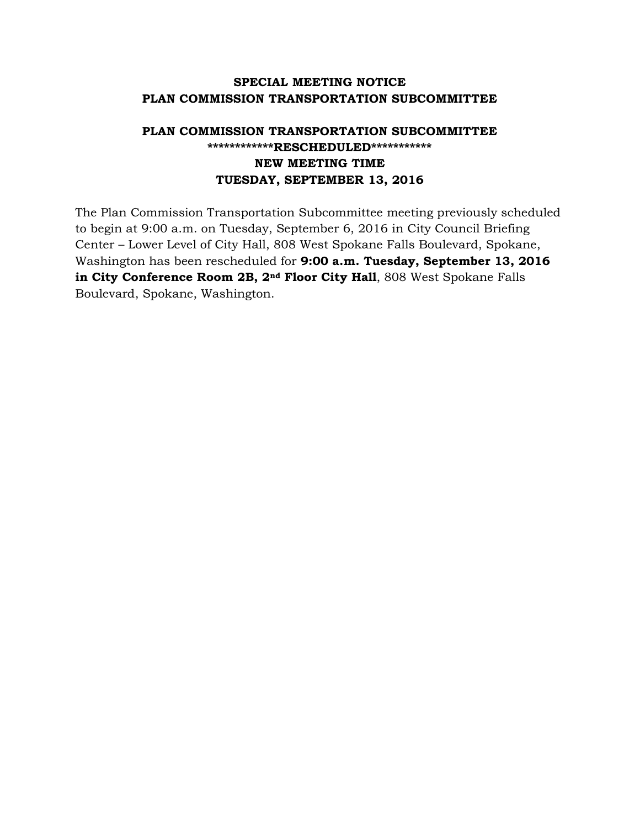## **SPECIAL MEETING NOTICE PLAN COMMISSION TRANSPORTATION SUBCOMMITTEE**

## **PLAN COMMISSION TRANSPORTATION SUBCOMMITTEE \*\*\*\*\*\*\*\*\*\*\*\*RESCHEDULED\*\*\*\*\*\*\*\*\*\*\* NEW MEETING TIME TUESDAY, SEPTEMBER 13, 2016**

The Plan Commission Transportation Subcommittee meeting previously scheduled to begin at 9:00 a.m. on Tuesday, September 6, 2016 in City Council Briefing Center – Lower Level of City Hall, 808 West Spokane Falls Boulevard, Spokane, Washington has been rescheduled for **9:00 a.m. Tuesday, September 13, 2016 in City Conference Room 2B, 2nd Floor City Hall**, 808 West Spokane Falls Boulevard, Spokane, Washington.